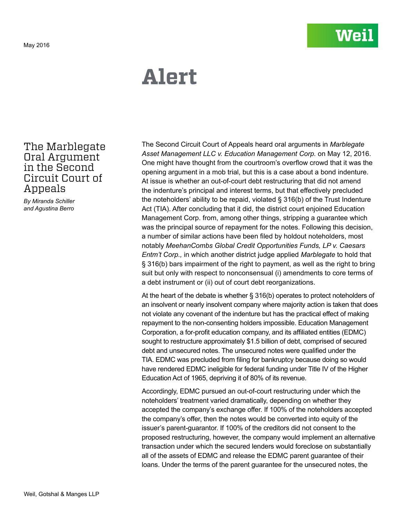# **Alert**

# The Marblegate Oral Argument in the Second Circuit Court of Appeals

*By Miranda Schiller and Agustina Berro*

The Second Circuit Court of Appeals heard oral arguments in *Marblegate Asset Management LLC v. Education Management Corp.* on May 12, 2016. One might have thought from the courtroom's overflow crowd that it was the opening argument in a mob trial, but this is a case about a bond indenture. At issue is whether an out-of-court debt restructuring that did not amend the indenture's principal and interest terms, but that effectively precluded the noteholders' ability to be repaid, violated § 316(b) of the Trust Indenture Act (TIA). After concluding that it did, the district court enjoined Education Management Corp. from, among other things, stripping a guarantee which was the principal source of repayment for the notes. Following this decision, a number of similar actions have been filed by holdout noteholders, most notably *MeehanCombs Global Credit Opportunities Funds, LP v. Caesars Entm't Corp.,* in which another district judge applied *Marblegate* to hold that § 316(b) bars impairment of the right to payment, as well as the right to bring suit but only with respect to nonconsensual (i) amendments to core terms of a debt instrument or (ii) out of court debt reorganizations.

At the heart of the debate is whether § 316(b) operates to protect noteholders of an insolvent or nearly insolvent company where majority action is taken that does not violate any covenant of the indenture but has the practical effect of making repayment to the non-consenting holders impossible. Education Management Corporation, a for-profit education company, and its affiliated entities (EDMC) sought to restructure approximately \$1.5 billion of debt, comprised of secured debt and unsecured notes. The unsecured notes were qualified under the TIA. EDMC was precluded from filing for bankruptcy because doing so would have rendered EDMC ineligible for federal funding under Title IV of the Higher Education Act of 1965, depriving it of 80% of its revenue.

Accordingly, EDMC pursued an out-of-court restructuring under which the noteholders' treatment varied dramatically, depending on whether they accepted the company's exchange offer. If 100% of the noteholders accepted the company's offer, then the notes would be converted into equity of the issuer's parent-guarantor. If 100% of the creditors did not consent to the proposed restructuring, however, the company would implement an alternative transaction under which the secured lenders would foreclose on substantially all of the assets of EDMC and release the EDMC parent guarantee of their loans. Under the terms of the parent guarantee for the unsecured notes, the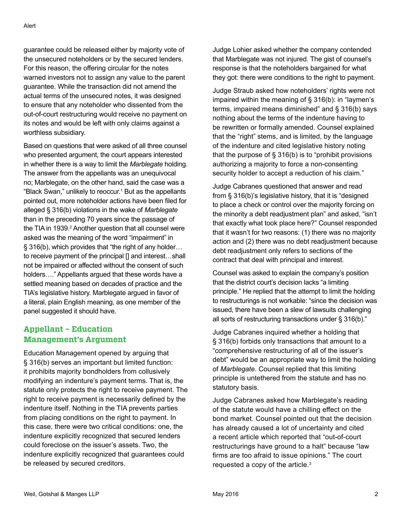guarantee could be released either by majority vote of the unsecured noteholders or by the secured lenders. For this reason, the offering circular for the notes warned investors not to assign any value to the parent guarantee. While the transaction did not amend the actual terms of the unsecured notes, it was designed to ensure that any noteholder who dissented from the out-of-court restructuring would receive no payment on its notes and would be left with only claims against a worthless subsidiary.

Based on questions that were asked of all three counsel who presented argument, the court appears interested in whether there is a way to limit the *Marblegate* holding. The answer from the appellants was an unequivocal no; Marblegate, on the other hand, said the case was a "Black Swan," unlikely to reoccur.<sup>1</sup> But as the appellants pointed out, more noteholder actions have been filed for alleged § 316(b) violations in the wake of *Marblegate*  than in the preceding 70 years since the passage of the TIA in 1939.<sup>2</sup> Another question that all counsel were asked was the meaning of the word "impairment" in § 316(b), which provides that "the right of any holder… to receive payment of the principal [] and interest…shall not be impaired or affected without the consent of such holders…." Appellants argued that these words have a settled meaning based on decades of practice and the TIA's legislative history. Marblegate argued in favor of a literal, plain English meaning, as one member of the panel suggested it should have.

## **Appellant – Education Management's Argument**

Education Management opened by arguing that § 316(b) serves an important but limited function: it prohibits majority bondholders from collusively modifying an indenture's payment terms. That is, the statute only protects the right to receive payment. The right to receive payment is necessarily defined by the indenture itself. Nothing in the TIA prevents parties from placing conditions on the right to payment. In this case, there were two critical conditions: one, the indenture explicitly recognized that secured lenders could foreclose on the issuer's assets. Two, the indenture explicitly recognized that guarantees could be released by secured creditors.

Judge Lohier asked whether the company contended that Marblegate was not injured. The gist of counsel's response is that the noteholders bargained for what they got: there were conditions to the right to payment.

Judge Straub asked how noteholders' rights were not impaired within the meaning of § 316(b): in "laymen's terms, impaired means diminished" and § 316(b) says nothing about the terms of the indenture having to be rewritten or formally amended. Counsel explained that the "right" stems, and is limited, by the language of the indenture and cited legislative history noting that the purpose of  $\S$  316(b) is to "prohibit provisions authorizing a majority to force a non-consenting security holder to accept a reduction of his claim."

Judge Cabranes questioned that answer and read from § 316(b)'s legislative history, that it is "designed to place a check or control over the majority forcing on the minority a debt readjustment plan" and asked, "isn't that exactly what took place here?" Counsel responded that it wasn't for two reasons: (1) there was no majority action and (2) there was no debt readjustment because debt readjustment only refers to sections of the contract that deal with principal and interest.

Counsel was asked to explain the company's position that the district court's decision lacks "a limiting principle." He replied that the attempt to limit the holding to restructurings is not workable: "since the decision was issued, there have been a slew of lawsuits challenging all sorts of restructuring transactions under § 316(b)."

Judge Cabranes inquired whether a holding that § 316(b) forbids only transactions that amount to a "comprehensive restructuring of all of the issuer's debt" would be an appropriate way to limit the holding of *Marblegate*. Counsel replied that this limiting principle is untethered from the statute and has no statutory basis.

Judge Cabranes asked how Marblegate's reading of the statute would have a chilling effect on the bond market. Counsel pointed out that the decision has already caused a lot of uncertainty and cited a recent article which reported that "out-of-court restructurings have ground to a halt" because "law firms are too afraid to issue opinions." The court requested a copy of the article.<sup>3</sup>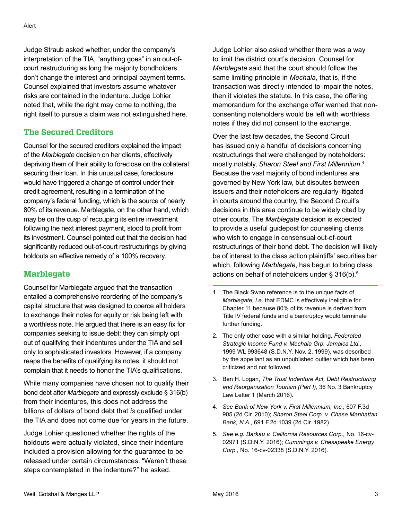Judge Straub asked whether, under the company's interpretation of the TIA, "anything goes" in an out-ofcourt restructuring as long the majority bondholders don't change the interest and principal payment terms. Counsel explained that investors assume whatever risks are contained in the indenture. Judge Lohier noted that, while the right may come to nothing, the right itself to pursue a claim was not extinguished here.

### **The Secured Creditors**

Counsel for the secured creditors explained the impact of the *Marblegate* decision on her clients, effectively depriving them of their ability to foreclose on the collateral securing their loan. In this unusual case, foreclosure would have triggered a change of control under their credit agreement, resulting in a termination of the company's federal funding, which is the source of nearly 80% of its revenue. Marblegate, on the other hand, which may be on the cusp of recouping its entire investment following the next interest payment, stood to profit from its investment. Counsel pointed out that the decision had significantly reduced out-of-court restructurings by giving holdouts an effective remedy of a 100% recovery.

### **Marblegate**

Counsel for Marblegate argued that the transaction entailed a comprehensive reordering of the company's capital structure that was designed to coerce all holders to exchange their notes for equity or risk being left with a worthless note. He argued that there is an easy fix for companies seeking to issue debt: they can simply opt out of qualifying their indentures under the TIA and sell only to sophisticated investors. However, if a company reaps the benefits of qualifying its notes, it should not complain that it needs to honor the TIA's qualifications.

While many companies have chosen not to qualify their bond debt after *Marblegate* and expressly exclude § 316(b) from their indentures, this does not address the billions of dollars of bond debt that *is* qualified under the TIA and does not come due for years in the future.

Judge Lohier questioned whether the rights of the holdouts were actually violated, since their indenture included a provision allowing for the guarantee to be released under certain circumstances. "Weren't these steps contemplated in the indenture?" he asked.

Judge Lohier also asked whether there was a way to limit the district court's decision. Counsel for *Marblegate* said that the court should follow the same limiting principle in *Mechala*, that is, if the transaction was directly intended to impair the notes, then it violates the statute. In this case, the offering memorandum for the exchange offer warned that nonconsenting noteholders would be left with worthless notes if they did not consent to the exchange.

Over the last few decades, the Second Circuit has issued only a handful of decisions concerning restructurings that were challenged by noteholders: mostly notably, *Sharon Steel and First Millennium*. 4 Because the vast majority of bond indentures are governed by New York law, but disputes between issuers and their noteholders are regularly litigated in courts around the country, the Second Circuit's decisions in this area continue to be widely cited by other courts. The *Marblegate* decision is expected to provide a useful guidepost for counseling clients who wish to engage in consensual out-of-court restructurings of their bond debt. The decision will likely be of interest to the class action plaintiffs' securities bar which, following *Marblegate*, has begun to bring class actions on behalf of noteholders under  $\S 316(b)$ .<sup>5</sup>

- 1. The Black Swan reference is to the unique facts of *Marblegate, i.e.* that EDMC is effectively ineligible for Chapter 11 because 80% of its revenue is derived from Title IV federal funds and a bankruptcy would terminate further funding.
- 2. The only other case with a similar holding, *Federated Strategic Income Fund v. Mechala Grp. Jamaica Ltd.,*  1999 WL 993648 (S.D.N.Y. Nov. 2, 1999), was described by the appellant as an unpublished outlier which has been criticized and not followed.
- 3. Ben H. Logan, *The Trust Indenture Act, Debt Restructuring and Reorganization Tourism (Part I),* 36 No. 3 Bankruptcy Law Letter 1 (March 2016).
- 4. *See Bank of New York v. First Millennium, Inc.,* 607 F.3d 905 (2d Cir. 2010); *Sharon Steel Corp. v. Chase Manhattan Bank, N.A.,* 691 F.2d 1039 (2d Cir. 1982)
- 5. *See e.g. Barkau v. California Resources Corp.,* No. 16-cv-02971 (S.D.N.Y. 2016); *Cummings v. Chesapeake Energy Corp.,* No. 16-cv-02338 (S.D.N.Y. 2016).